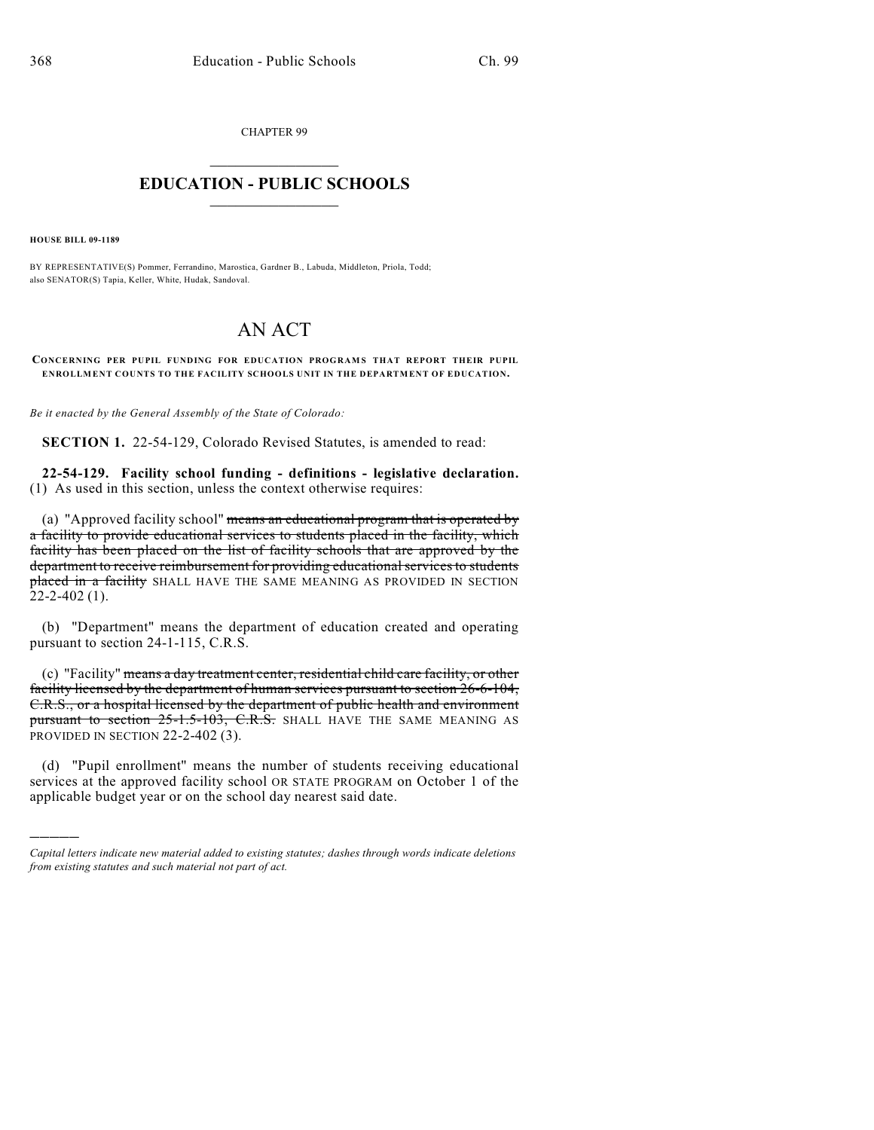CHAPTER 99

## $\mathcal{L}_\text{max}$  . The set of the set of the set of the set of the set of the set of the set of the set of the set of the set of the set of the set of the set of the set of the set of the set of the set of the set of the set **EDUCATION - PUBLIC SCHOOLS**  $\_$   $\_$   $\_$   $\_$   $\_$   $\_$   $\_$   $\_$   $\_$

**HOUSE BILL 09-1189**

)))))

BY REPRESENTATIVE(S) Pommer, Ferrandino, Marostica, Gardner B., Labuda, Middleton, Priola, Todd; also SENATOR(S) Tapia, Keller, White, Hudak, Sandoval.

## AN ACT

**CONCERNING PER PUPIL FUNDING FOR EDUCATION PROGRAMS THAT REPORT THEIR PUPIL ENROLLMENT COUNTS TO THE FACILITY SCHOOLS UNIT IN THE DEPARTMENT OF EDUCATION.**

*Be it enacted by the General Assembly of the State of Colorado:*

**SECTION 1.** 22-54-129, Colorado Revised Statutes, is amended to read:

**22-54-129. Facility school funding - definitions - legislative declaration.** (1) As used in this section, unless the context otherwise requires:

(a) "Approved facility school" means an educational program that is operated by a facility to provide educational services to students placed in the facility, which facility has been placed on the list of facility schools that are approved by the department to receive reimbursement for providing educational services to students placed in a facility SHALL HAVE THE SAME MEANING AS PROVIDED IN SECTION  $22 - 2 - 402$  (1).

(b) "Department" means the department of education created and operating pursuant to section 24-1-115, C.R.S.

(c) "Facility" means a day treatment center, residential child care facility, or other facility licensed by the department of human services pursuant to section 26-6-104, C.R.S., or a hospital licensed by the department of public health and environment pursuant to section 25-1.5-103, C.R.S. SHALL HAVE THE SAME MEANING AS PROVIDED IN SECTION 22-2-402 (3).

(d) "Pupil enrollment" means the number of students receiving educational services at the approved facility school OR STATE PROGRAM on October 1 of the applicable budget year or on the school day nearest said date.

*Capital letters indicate new material added to existing statutes; dashes through words indicate deletions from existing statutes and such material not part of act.*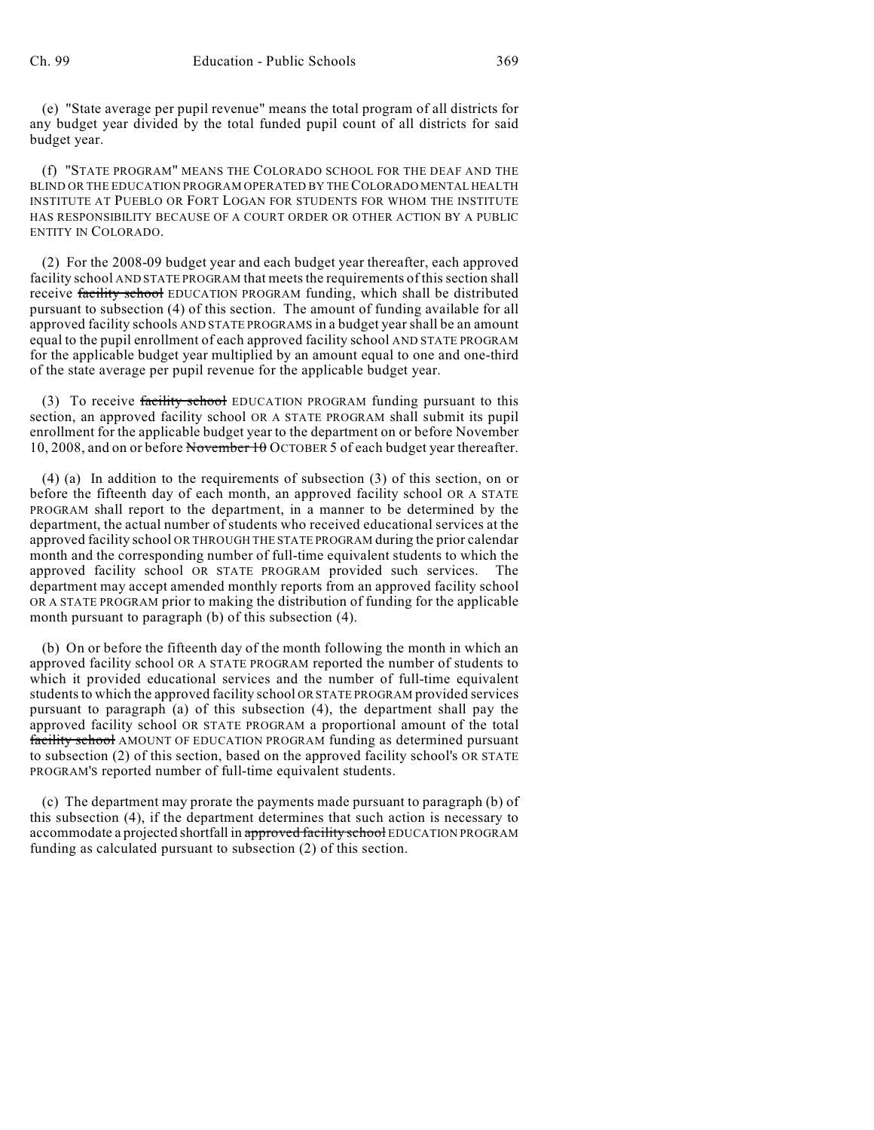(e) "State average per pupil revenue" means the total program of all districts for any budget year divided by the total funded pupil count of all districts for said budget year.

(f) "STATE PROGRAM" MEANS THE COLORADO SCHOOL FOR THE DEAF AND THE BLIND OR THE EDUCATION PROGRAM OPERATED BY THE COLORADO MENTAL HEALTH INSTITUTE AT PUEBLO OR FORT LOGAN FOR STUDENTS FOR WHOM THE INSTITUTE HAS RESPONSIBILITY BECAUSE OF A COURT ORDER OR OTHER ACTION BY A PUBLIC ENTITY IN COLORADO.

(2) For the 2008-09 budget year and each budget year thereafter, each approved facility school AND STATE PROGRAM that meets the requirements of this section shall receive facility school EDUCATION PROGRAM funding, which shall be distributed pursuant to subsection (4) of this section. The amount of funding available for all approved facility schools AND STATE PROGRAMS in a budget year shall be an amount equal to the pupil enrollment of each approved facility school AND STATE PROGRAM for the applicable budget year multiplied by an amount equal to one and one-third of the state average per pupil revenue for the applicable budget year.

(3) To receive facility school EDUCATION PROGRAM funding pursuant to this section, an approved facility school OR A STATE PROGRAM shall submit its pupil enrollment for the applicable budget year to the department on or before November 10, 2008, and on or before November 10 OCTOBER 5 of each budget year thereafter.

(4) (a) In addition to the requirements of subsection (3) of this section, on or before the fifteenth day of each month, an approved facility school OR A STATE PROGRAM shall report to the department, in a manner to be determined by the department, the actual number of students who received educational services at the approved facility school OR THROUGH THE STATE PROGRAM during the prior calendar month and the corresponding number of full-time equivalent students to which the approved facility school OR STATE PROGRAM provided such services. The department may accept amended monthly reports from an approved facility school OR A STATE PROGRAM prior to making the distribution of funding for the applicable month pursuant to paragraph (b) of this subsection (4).

(b) On or before the fifteenth day of the month following the month in which an approved facility school OR A STATE PROGRAM reported the number of students to which it provided educational services and the number of full-time equivalent students to which the approved facility school OR STATE PROGRAM provided services pursuant to paragraph (a) of this subsection (4), the department shall pay the approved facility school OR STATE PROGRAM a proportional amount of the total facility school AMOUNT OF EDUCATION PROGRAM funding as determined pursuant to subsection (2) of this section, based on the approved facility school's OR STATE PROGRAM'S reported number of full-time equivalent students.

(c) The department may prorate the payments made pursuant to paragraph (b) of this subsection (4), if the department determines that such action is necessary to accommodate a projected shortfall in approved facility school EDUCATION PROGRAM funding as calculated pursuant to subsection (2) of this section.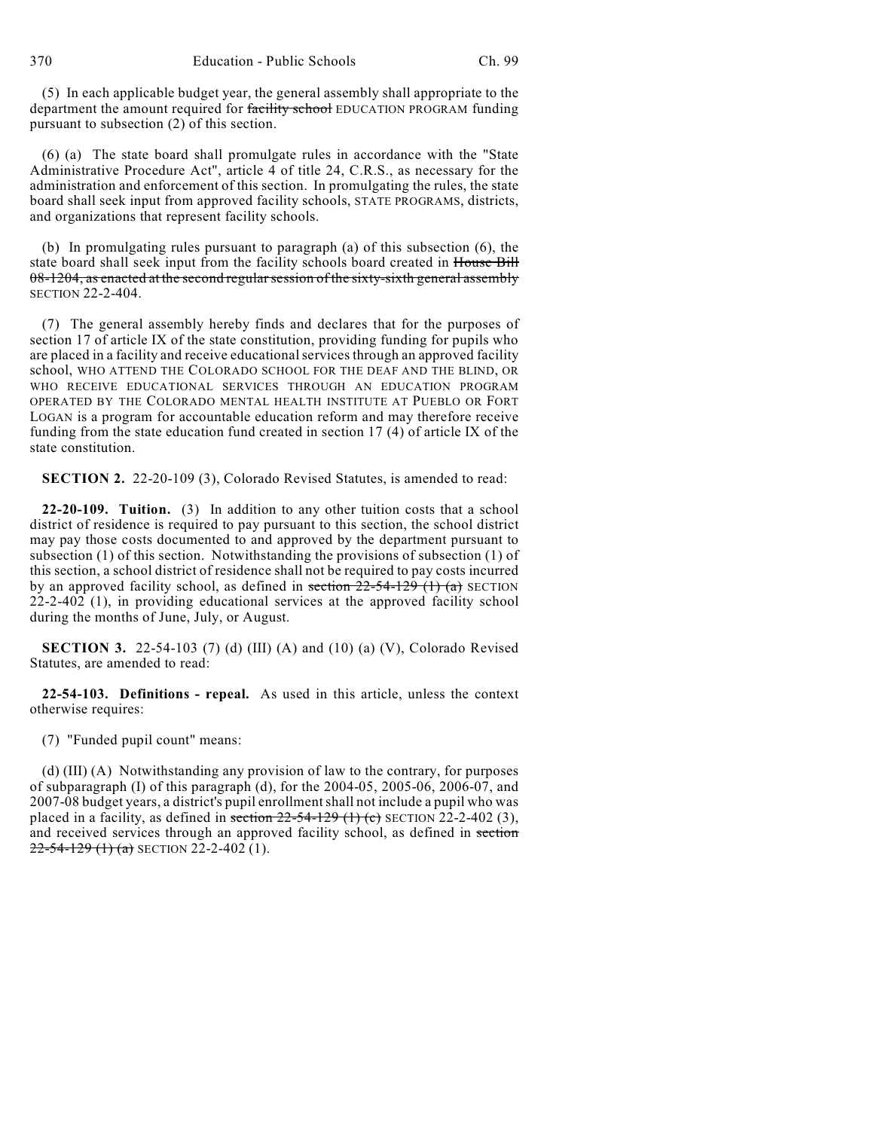(5) In each applicable budget year, the general assembly shall appropriate to the department the amount required for facility school EDUCATION PROGRAM funding pursuant to subsection (2) of this section.

(6) (a) The state board shall promulgate rules in accordance with the "State Administrative Procedure Act", article 4 of title 24, C.R.S., as necessary for the administration and enforcement of this section. In promulgating the rules, the state board shall seek input from approved facility schools, STATE PROGRAMS, districts, and organizations that represent facility schools.

(b) In promulgating rules pursuant to paragraph (a) of this subsection (6), the state board shall seek input from the facility schools board created in House Bill 08-1204, as enacted at the second regular session of the sixty-sixth general assembly SECTION 22-2-404.

(7) The general assembly hereby finds and declares that for the purposes of section 17 of article IX of the state constitution, providing funding for pupils who are placed in a facility and receive educational services through an approved facility school, WHO ATTEND THE COLORADO SCHOOL FOR THE DEAF AND THE BLIND, OR WHO RECEIVE EDUCATIONAL SERVICES THROUGH AN EDUCATION PROGRAM OPERATED BY THE COLORADO MENTAL HEALTH INSTITUTE AT PUEBLO OR FORT LOGAN is a program for accountable education reform and may therefore receive funding from the state education fund created in section 17 (4) of article IX of the state constitution.

**SECTION 2.** 22-20-109 (3), Colorado Revised Statutes, is amended to read:

**22-20-109. Tuition.** (3) In addition to any other tuition costs that a school district of residence is required to pay pursuant to this section, the school district may pay those costs documented to and approved by the department pursuant to subsection (1) of this section. Notwithstanding the provisions of subsection (1) of this section, a school district of residence shall not be required to pay costs incurred by an approved facility school, as defined in section  $22-54-129$  (1) (a) SECTION 22-2-402 (1), in providing educational services at the approved facility school during the months of June, July, or August.

**SECTION 3.** 22-54-103 (7) (d) (III) (A) and (10) (a) (V), Colorado Revised Statutes, are amended to read:

**22-54-103. Definitions - repeal.** As used in this article, unless the context otherwise requires:

(7) "Funded pupil count" means:

(d) (III) (A) Notwithstanding any provision of law to the contrary, for purposes of subparagraph  $(I)$  of this paragraph  $(d)$ , for the 2004-05, 2005-06, 2006-07, and 2007-08 budget years, a district's pupil enrollment shall not include a pupil who was placed in a facility, as defined in section  $22-54-129$  (1) (c) SECTION 22-2-402 (3), and received services through an approved facility school, as defined in section  $22-54-129$  (1) (a) SECTION 22-2-402 (1).